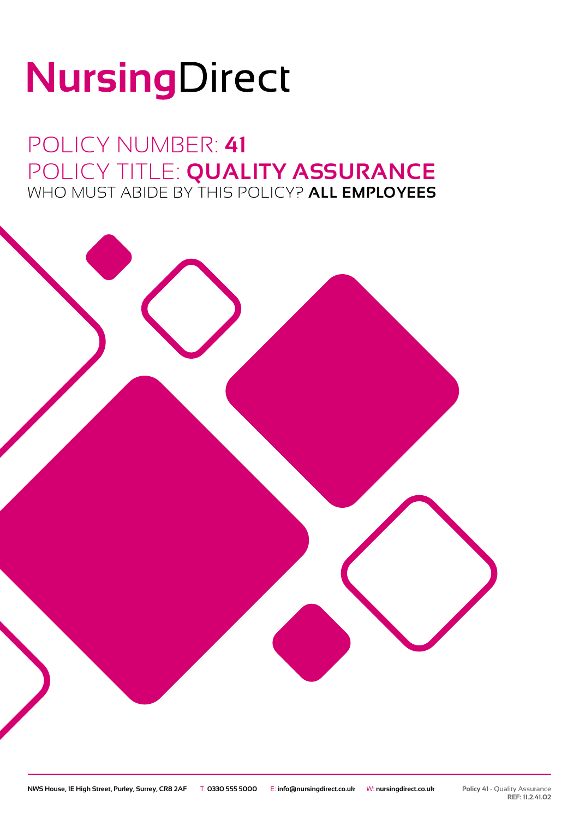# NursingDirect

### POLICY NUMBER: **41** POLICY TITLE: **QUALITY ASSURANCE** WHO MUST ABIDE BY THIS POLICY? **ALL EMPLOYEES**